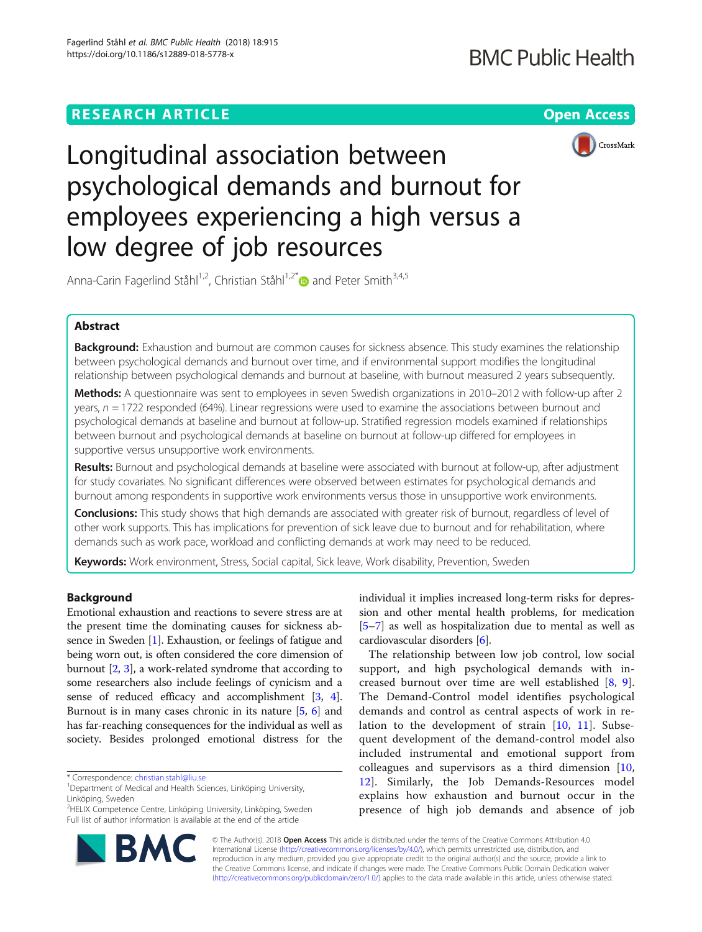

# Longitudinal association between psychological demands and burnout for employees experiencing a high versus a low degree of job resources

Anna-Carin Fagerlind Ståhl<sup>1,2</sup>, Christian Ståhl<sup>1,2[\\*](http://orcid.org/0000-0003-3310-0895)</sup> and Peter Smith<sup>3,4,5</sup>

# Abstract

Background: Exhaustion and burnout are common causes for sickness absence. This study examines the relationship between psychological demands and burnout over time, and if environmental support modifies the longitudinal relationship between psychological demands and burnout at baseline, with burnout measured 2 years subsequently.

Methods: A questionnaire was sent to employees in seven Swedish organizations in 2010–2012 with follow-up after 2 years,  $n = 1722$  responded (64%). Linear regressions were used to examine the associations between burnout and psychological demands at baseline and burnout at follow-up. Stratified regression models examined if relationships between burnout and psychological demands at baseline on burnout at follow-up differed for employees in supportive versus unsupportive work environments.

Results: Burnout and psychological demands at baseline were associated with burnout at follow-up, after adjustment for study covariates. No significant differences were observed between estimates for psychological demands and burnout among respondents in supportive work environments versus those in unsupportive work environments.

Conclusions: This study shows that high demands are associated with greater risk of burnout, regardless of level of other work supports. This has implications for prevention of sick leave due to burnout and for rehabilitation, where demands such as work pace, workload and conflicting demands at work may need to be reduced.

Keywords: Work environment, Stress, Social capital, Sick leave, Work disability, Prevention, Sweden

# Background

Emotional exhaustion and reactions to severe stress are at the present time the dominating causes for sickness absence in Sweden [[1\]](#page-6-0). Exhaustion, or feelings of fatigue and being worn out, is often considered the core dimension of burnout [\[2](#page-6-0), [3\]](#page-6-0), a work-related syndrome that according to some researchers also include feelings of cynicism and a sense of reduced efficacy and accomplishment [[3](#page-6-0), [4](#page-7-0)]. Burnout is in many cases chronic in its nature [\[5,](#page-7-0) [6](#page-7-0)] and has far-reaching consequences for the individual as well as society. Besides prolonged emotional distress for the



The relationship between low job control, low social support, and high psychological demands with increased burnout over time are well established [\[8](#page-7-0), [9](#page-7-0)]. The Demand-Control model identifies psychological demands and control as central aspects of work in relation to the development of strain [[10](#page-7-0), [11\]](#page-7-0). Subsequent development of the demand-control model also included instrumental and emotional support from colleagues and supervisors as a third dimension [\[10](#page-7-0), [12\]](#page-7-0). Similarly, the Job Demands-Resources model explains how exhaustion and burnout occur in the presence of high job demands and absence of job



© The Author(s). 2018 Open Access This article is distributed under the terms of the Creative Commons Attribution 4.0 International License [\(http://creativecommons.org/licenses/by/4.0/](http://creativecommons.org/licenses/by/4.0/)), which permits unrestricted use, distribution, and reproduction in any medium, provided you give appropriate credit to the original author(s) and the source, provide a link to the Creative Commons license, and indicate if changes were made. The Creative Commons Public Domain Dedication waiver [\(http://creativecommons.org/publicdomain/zero/1.0/](http://creativecommons.org/publicdomain/zero/1.0/)) applies to the data made available in this article, unless otherwise stated.

<sup>\*</sup> Correspondence: [christian.stahl@liu.se](mailto:christian.stahl@liu.se) <sup>1</sup>

<sup>&</sup>lt;sup>1</sup>Department of Medical and Health Sciences, Linköping University, Linköping, Sweden

<sup>2</sup> HELIX Competence Centre, Linköping University, Linköping, Sweden Full list of author information is available at the end of the article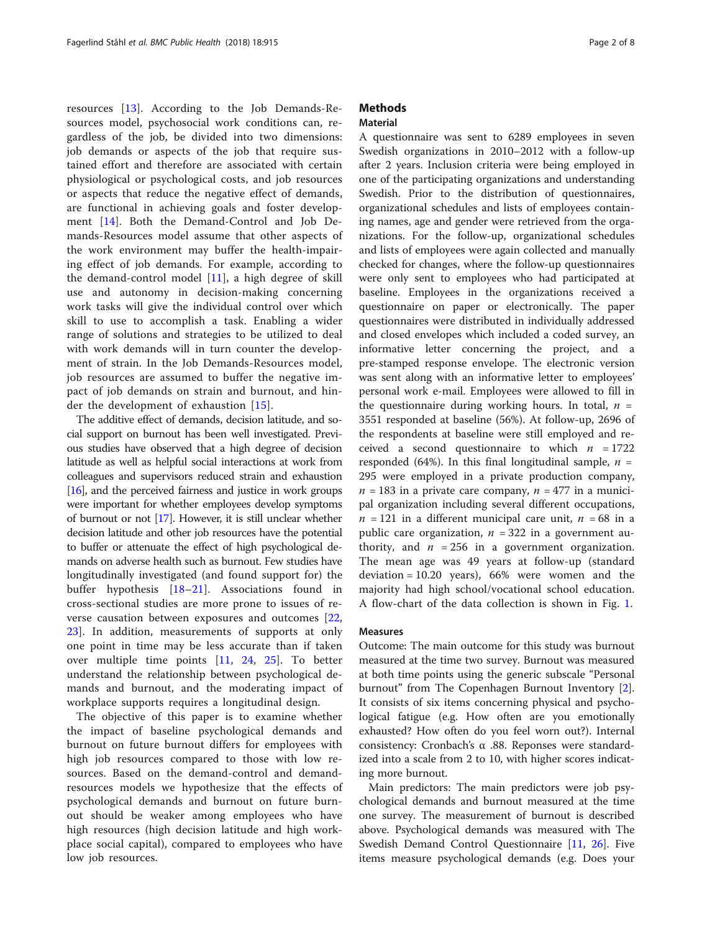resources [[13](#page-7-0)]. According to the Job Demands-Resources model, psychosocial work conditions can, regardless of the job, be divided into two dimensions: job demands or aspects of the job that require sustained effort and therefore are associated with certain physiological or psychological costs, and job resources or aspects that reduce the negative effect of demands, are functional in achieving goals and foster development [[14\]](#page-7-0). Both the Demand-Control and Job Demands-Resources model assume that other aspects of the work environment may buffer the health-impairing effect of job demands. For example, according to the demand-control model  $[11]$  $[11]$ , a high degree of skill use and autonomy in decision-making concerning work tasks will give the individual control over which skill to use to accomplish a task. Enabling a wider range of solutions and strategies to be utilized to deal with work demands will in turn counter the development of strain. In the Job Demands-Resources model, job resources are assumed to buffer the negative impact of job demands on strain and burnout, and hinder the development of exhaustion [[15](#page-7-0)].

The additive effect of demands, decision latitude, and social support on burnout has been well investigated. Previous studies have observed that a high degree of decision latitude as well as helpful social interactions at work from colleagues and supervisors reduced strain and exhaustion [[16](#page-7-0)], and the perceived fairness and justice in work groups were important for whether employees develop symptoms of burnout or not [\[17\]](#page-7-0). However, it is still unclear whether decision latitude and other job resources have the potential to buffer or attenuate the effect of high psychological demands on adverse health such as burnout. Few studies have longitudinally investigated (and found support for) the buffer hypothesis [[18](#page-7-0)–[21\]](#page-7-0). Associations found in cross-sectional studies are more prone to issues of reverse causation between exposures and outcomes [\[22](#page-7-0), [23\]](#page-7-0). In addition, measurements of supports at only one point in time may be less accurate than if taken over multiple time points [[11,](#page-7-0) [24](#page-7-0), [25\]](#page-7-0). To better understand the relationship between psychological demands and burnout, and the moderating impact of workplace supports requires a longitudinal design.

The objective of this paper is to examine whether the impact of baseline psychological demands and burnout on future burnout differs for employees with high job resources compared to those with low resources. Based on the demand-control and demandresources models we hypothesize that the effects of psychological demands and burnout on future burnout should be weaker among employees who have high resources (high decision latitude and high workplace social capital), compared to employees who have low job resources.

# **Methods**

# Material

A questionnaire was sent to 6289 employees in seven Swedish organizations in 2010–2012 with a follow-up after 2 years. Inclusion criteria were being employed in one of the participating organizations and understanding Swedish. Prior to the distribution of questionnaires, organizational schedules and lists of employees containing names, age and gender were retrieved from the organizations. For the follow-up, organizational schedules and lists of employees were again collected and manually checked for changes, where the follow-up questionnaires were only sent to employees who had participated at baseline. Employees in the organizations received a questionnaire on paper or electronically. The paper questionnaires were distributed in individually addressed and closed envelopes which included a coded survey, an informative letter concerning the project, and a pre-stamped response envelope. The electronic version was sent along with an informative letter to employees' personal work e-mail. Employees were allowed to fill in the questionnaire during working hours. In total,  $n =$ 3551 responded at baseline (56%). At follow-up, 2696 of the respondents at baseline were still employed and received a second questionnaire to which  $n = 1722$ responded (64%). In this final longitudinal sample,  $n =$ 295 were employed in a private production company,  $n = 183$  in a private care company,  $n = 477$  in a municipal organization including several different occupations,  $n = 121$  in a different municipal care unit,  $n = 68$  in a public care organization,  $n = 322$  in a government authority, and  $n = 256$  in a government organization. The mean age was 49 years at follow-up (standard deviation = 10.20 years), 66% were women and the majority had high school/vocational school education. A flow-chart of the data collection is shown in Fig. [1.](#page-2-0)

## Measures

Outcome: The main outcome for this study was burnout measured at the time two survey. Burnout was measured at both time points using the generic subscale "Personal burnout" from The Copenhagen Burnout Inventory [\[2](#page-6-0)]. It consists of six items concerning physical and psychological fatigue (e.g. How often are you emotionally exhausted? How often do you feel worn out?). Internal consistency: Cronbach's α .88. Reponses were standardized into a scale from 2 to 10, with higher scores indicating more burnout.

Main predictors: The main predictors were job psychological demands and burnout measured at the time one survey. The measurement of burnout is described above. Psychological demands was measured with The Swedish Demand Control Questionnaire [\[11,](#page-7-0) [26\]](#page-7-0). Five items measure psychological demands (e.g. Does your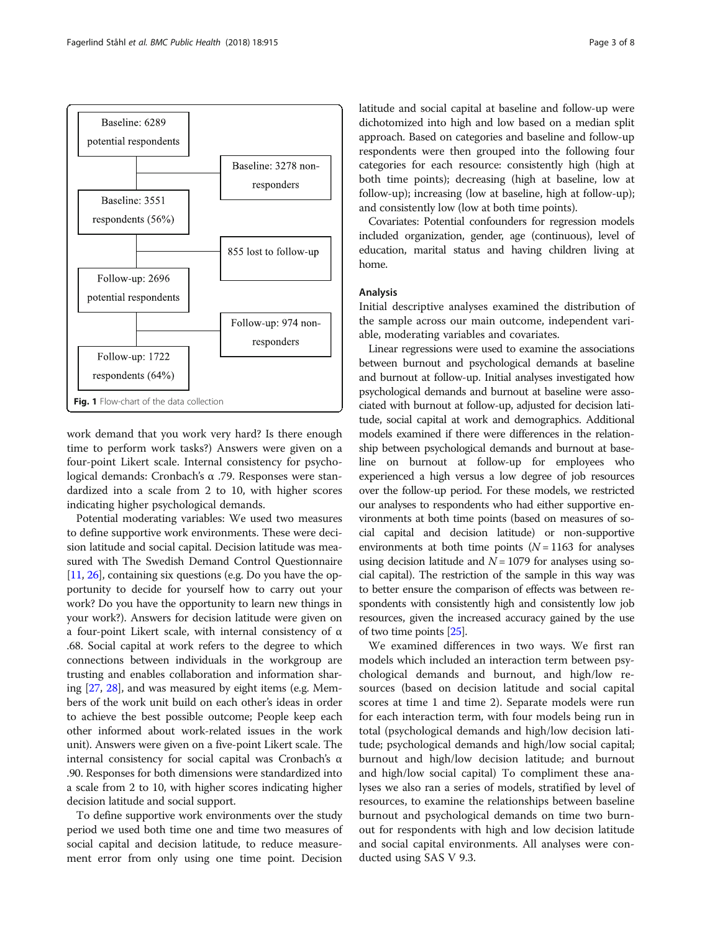<span id="page-2-0"></span>

work demand that you work very hard? Is there enough time to perform work tasks?) Answers were given on a four-point Likert scale. Internal consistency for psychological demands: Cronbach's α .79. Responses were standardized into a scale from 2 to 10, with higher scores indicating higher psychological demands.

Potential moderating variables: We used two measures to define supportive work environments. These were decision latitude and social capital. Decision latitude was measured with The Swedish Demand Control Questionnaire [[11](#page-7-0), [26\]](#page-7-0), containing six questions (e.g. Do you have the opportunity to decide for yourself how to carry out your work? Do you have the opportunity to learn new things in your work?). Answers for decision latitude were given on a four-point Likert scale, with internal consistency of α .68. Social capital at work refers to the degree to which connections between individuals in the workgroup are trusting and enables collaboration and information sharing [\[27,](#page-7-0) [28\]](#page-7-0), and was measured by eight items (e.g. Members of the work unit build on each other's ideas in order to achieve the best possible outcome; People keep each other informed about work-related issues in the work unit). Answers were given on a five-point Likert scale. The internal consistency for social capital was Cronbach's α .90. Responses for both dimensions were standardized into a scale from 2 to 10, with higher scores indicating higher decision latitude and social support.

To define supportive work environments over the study period we used both time one and time two measures of social capital and decision latitude, to reduce measurement error from only using one time point. Decision latitude and social capital at baseline and follow-up were dichotomized into high and low based on a median split approach. Based on categories and baseline and follow-up respondents were then grouped into the following four categories for each resource: consistently high (high at both time points); decreasing (high at baseline, low at follow-up); increasing (low at baseline, high at follow-up); and consistently low (low at both time points).

Covariates: Potential confounders for regression models included organization, gender, age (continuous), level of education, marital status and having children living at home.

## Analysis

Initial descriptive analyses examined the distribution of the sample across our main outcome, independent variable, moderating variables and covariates.

Linear regressions were used to examine the associations between burnout and psychological demands at baseline and burnout at follow-up. Initial analyses investigated how psychological demands and burnout at baseline were associated with burnout at follow-up, adjusted for decision latitude, social capital at work and demographics. Additional models examined if there were differences in the relationship between psychological demands and burnout at baseline on burnout at follow-up for employees who experienced a high versus a low degree of job resources over the follow-up period. For these models, we restricted our analyses to respondents who had either supportive environments at both time points (based on measures of social capital and decision latitude) or non-supportive environments at both time points  $(N = 1163$  for analyses using decision latitude and  $N = 1079$  for analyses using social capital). The restriction of the sample in this way was to better ensure the comparison of effects was between respondents with consistently high and consistently low job resources, given the increased accuracy gained by the use of two time points [\[25\]](#page-7-0).

We examined differences in two ways. We first ran models which included an interaction term between psychological demands and burnout, and high/low resources (based on decision latitude and social capital scores at time 1 and time 2). Separate models were run for each interaction term, with four models being run in total (psychological demands and high/low decision latitude; psychological demands and high/low social capital; burnout and high/low decision latitude; and burnout and high/low social capital) To compliment these analyses we also ran a series of models, stratified by level of resources, to examine the relationships between baseline burnout and psychological demands on time two burnout for respondents with high and low decision latitude and social capital environments. All analyses were conducted using SAS V 9.3.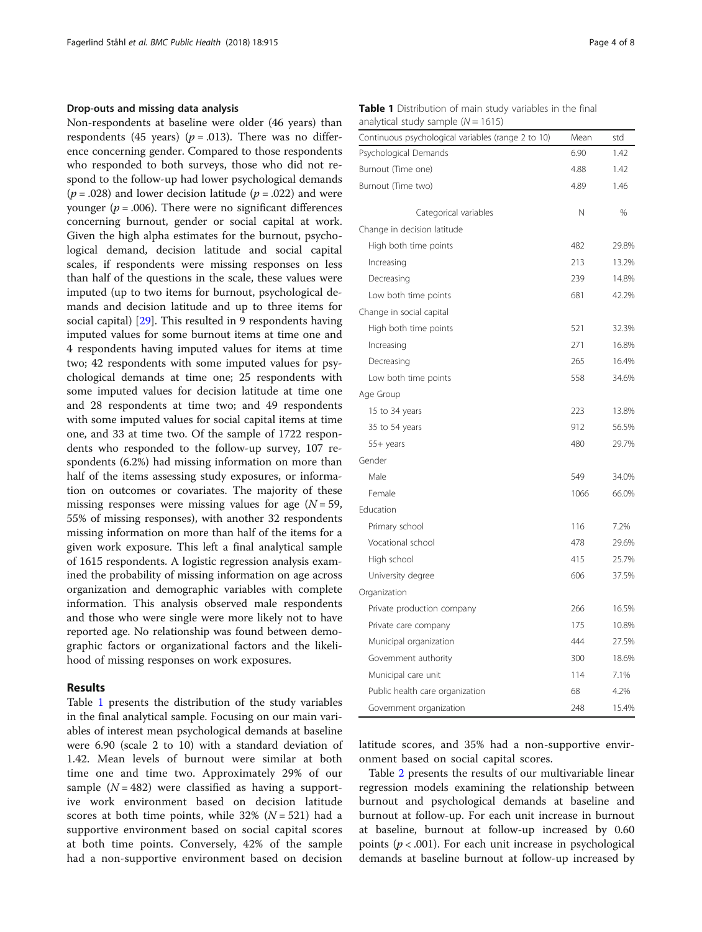# Drop-outs and missing data analysis

Non-respondents at baseline were older (46 years) than respondents (45 years) ( $p = .013$ ). There was no difference concerning gender. Compared to those respondents who responded to both surveys, those who did not respond to the follow-up had lower psychological demands ( $p = .028$ ) and lower decision latitude ( $p = .022$ ) and were younger ( $p = .006$ ). There were no significant differences concerning burnout, gender or social capital at work. Given the high alpha estimates for the burnout, psychological demand, decision latitude and social capital scales, if respondents were missing responses on less than half of the questions in the scale, these values were imputed (up to two items for burnout, psychological demands and decision latitude and up to three items for social capital) [\[29](#page-7-0)]. This resulted in 9 respondents having imputed values for some burnout items at time one and 4 respondents having imputed values for items at time two; 42 respondents with some imputed values for psychological demands at time one; 25 respondents with some imputed values for decision latitude at time one and 28 respondents at time two; and 49 respondents with some imputed values for social capital items at time one, and 33 at time two. Of the sample of 1722 respondents who responded to the follow-up survey, 107 respondents (6.2%) had missing information on more than half of the items assessing study exposures, or information on outcomes or covariates. The majority of these missing responses were missing values for age  $(N = 59)$ , 55% of missing responses), with another 32 respondents missing information on more than half of the items for a given work exposure. This left a final analytical sample of 1615 respondents. A logistic regression analysis examined the probability of missing information on age across organization and demographic variables with complete information. This analysis observed male respondents and those who were single were more likely not to have reported age. No relationship was found between demographic factors or organizational factors and the likelihood of missing responses on work exposures.

# Results

Table 1 presents the distribution of the study variables in the final analytical sample. Focusing on our main variables of interest mean psychological demands at baseline were 6.90 (scale 2 to 10) with a standard deviation of 1.42. Mean levels of burnout were similar at both time one and time two. Approximately 29% of our sample  $(N = 482)$  were classified as having a supportive work environment based on decision latitude scores at both time points, while  $32\%$  ( $N = 521$ ) had a supportive environment based on social capital scores at both time points. Conversely, 42% of the sample had a non-supportive environment based on decision

| Continuous psychological variables (range 2 to 10) | Mean | std   |
|----------------------------------------------------|------|-------|
| Psychological Demands                              | 6.90 | 1.42  |
| Burnout (Time one)                                 | 4.88 | 1.42  |
| Burnout (Time two)                                 | 4.89 | 1.46  |
| Categorical variables                              | N    | $\%$  |
| Change in decision latitude                        |      |       |
| High both time points                              | 482  | 29.8% |
| Increasing                                         | 213  | 13.2% |
| Decreasing                                         | 239  | 14.8% |
| Low both time points                               | 681  | 42.2% |
| Change in social capital                           |      |       |
| High both time points                              | 521  | 32.3% |
| Increasing                                         | 271  | 16.8% |
| Decreasing                                         | 265  | 16.4% |
| Low both time points                               | 558  | 34.6% |
| Age Group                                          |      |       |
| 15 to 34 years                                     | 223  | 13.8% |
| 35 to 54 years                                     | 912  | 56.5% |
| $55+$ years                                        | 480  | 29.7% |
| Gender                                             |      |       |
| Male                                               | 549  | 34.0% |
| Female                                             | 1066 | 66.0% |
| Education                                          |      |       |
| Primary school                                     | 116  | 7.2%  |
| Vocational school                                  | 478  | 29.6% |
| High school                                        | 415  | 25.7% |
| University degree                                  | 606  | 37.5% |
| Organization                                       |      |       |
| Private production company                         | 266  | 16.5% |
| Private care company                               | 175  | 10.8% |
| Municipal organization                             | 444  | 27.5% |
| Government authority                               | 300  | 18.6% |
| Municipal care unit                                | 114  | 7.1%  |
| Public health care organization                    | 68   | 4.2%  |
| Government organization                            | 248  | 15.4% |

latitude scores, and 35% had a non-supportive environment based on social capital scores.

Table [2](#page-4-0) presents the results of our multivariable linear regression models examining the relationship between burnout and psychological demands at baseline and burnout at follow-up. For each unit increase in burnout at baseline, burnout at follow-up increased by 0.60 points ( $p < .001$ ). For each unit increase in psychological demands at baseline burnout at follow-up increased by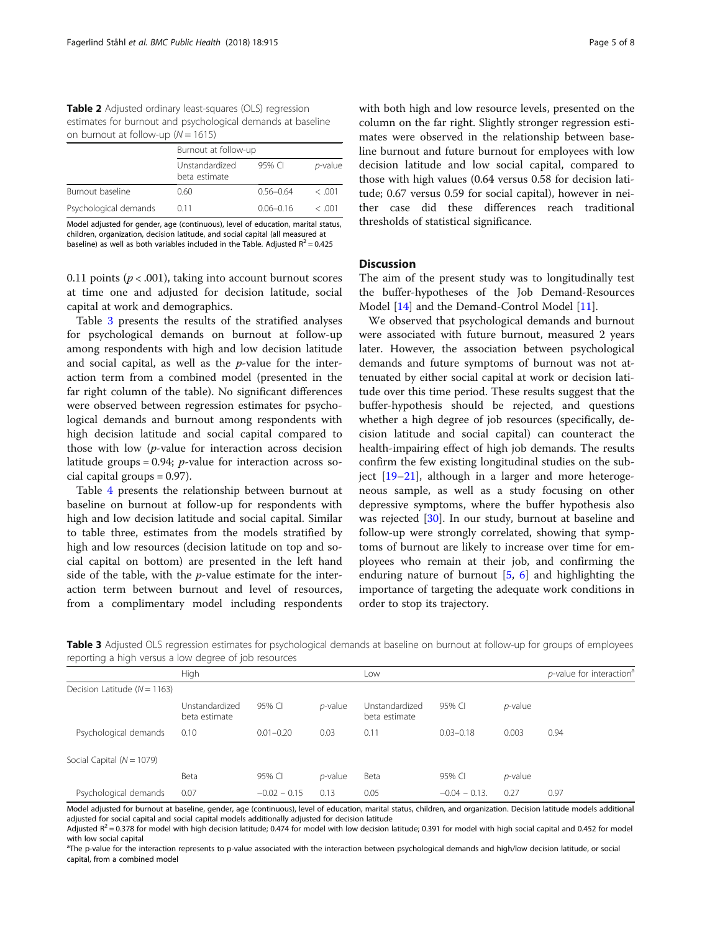<span id="page-4-0"></span>Table 2 Adjusted ordinary least-squares (OLS) regression estimates for burnout and psychological demands at baseline on burnout at follow-up ( $N = 1615$ )

|                       | Burnout at follow-up            |               |            |  |
|-----------------------|---------------------------------|---------------|------------|--|
|                       | Unstandardized<br>beta estimate | 95% CI        | $p$ -value |  |
| Burnout baseline      | 0.60                            | $0.56 - 0.64$ | <.001      |  |
| Psychological demands | 0.11                            | $0.06 - 0.16$ | < 0.01     |  |

Model adjusted for gender, age (continuous), level of education, marital status, children, organization, decision latitude, and social capital (all measured at baseline) as well as both variables included in the Table. Adjusted  $R^2 = 0.425$ 

0.11 points ( $p < .001$ ), taking into account burnout scores at time one and adjusted for decision latitude, social capital at work and demographics.

Table 3 presents the results of the stratified analyses for psychological demands on burnout at follow-up among respondents with high and low decision latitude and social capital, as well as the  $p$ -value for the interaction term from a combined model (presented in the far right column of the table). No significant differences were observed between regression estimates for psychological demands and burnout among respondents with high decision latitude and social capital compared to those with low (p-value for interaction across decision latitude groups =  $0.94$ ; *p*-value for interaction across social capital groups = 0.97).

Table [4](#page-5-0) presents the relationship between burnout at baseline on burnout at follow-up for respondents with high and low decision latitude and social capital. Similar to table three, estimates from the models stratified by high and low resources (decision latitude on top and social capital on bottom) are presented in the left hand side of the table, with the  $p$ -value estimate for the interaction term between burnout and level of resources, from a complimentary model including respondents column on the far right. Slightly stronger regression estimates were observed in the relationship between baseline burnout and future burnout for employees with low decision latitude and low social capital, compared to those with high values (0.64 versus 0.58 for decision latitude; 0.67 versus 0.59 for social capital), however in neither case did these differences reach traditional thresholds of statistical significance.

## **Discussion**

The aim of the present study was to longitudinally test the buffer-hypotheses of the Job Demand-Resources Model [\[14](#page-7-0)] and the Demand-Control Model [\[11](#page-7-0)].

We observed that psychological demands and burnout were associated with future burnout, measured 2 years later. However, the association between psychological demands and future symptoms of burnout was not attenuated by either social capital at work or decision latitude over this time period. These results suggest that the buffer-hypothesis should be rejected, and questions whether a high degree of job resources (specifically, decision latitude and social capital) can counteract the health-impairing effect of high job demands. The results confirm the few existing longitudinal studies on the subject  $[19-21]$  $[19-21]$  $[19-21]$ , although in a larger and more heterogeneous sample, as well as a study focusing on other depressive symptoms, where the buffer hypothesis also was rejected [[30](#page-7-0)]. In our study, burnout at baseline and follow-up were strongly correlated, showing that symptoms of burnout are likely to increase over time for employees who remain at their job, and confirming the enduring nature of burnout  $[5, 6]$  $[5, 6]$  $[5, 6]$  $[5, 6]$  and highlighting the importance of targeting the adequate work conditions in order to stop its trajectory.

| reporting a high versus a low degree of job resources |                                 |                |                 |                                 |                  |                 |                                         |
|-------------------------------------------------------|---------------------------------|----------------|-----------------|---------------------------------|------------------|-----------------|-----------------------------------------|
|                                                       | High                            |                |                 | Low                             |                  |                 | $p$ -value for interaction <sup>a</sup> |
| Decision Latitude ( $N = 1163$ )                      |                                 |                |                 |                                 |                  |                 |                                         |
|                                                       | Unstandardized<br>beta estimate | 95% CI         | <i>p</i> -value | Unstandardized<br>beta estimate | 95% CI           | <i>p</i> -value |                                         |
| Psychological demands                                 | 0.10                            | $0.01 - 0.20$  | 0.03            | 0.11                            | $0.03 - 0.18$    | 0.003           | 0.94                                    |
| Social Capital $(N = 1079)$                           |                                 |                |                 |                                 |                  |                 |                                         |
|                                                       | Beta                            | 95% CI         | <i>p</i> -value | Beta                            | 95% CI           | <i>p</i> -value |                                         |
| Psychological demands                                 | 0.07                            | $-0.02 - 0.15$ | 0.13            | 0.05                            | $-0.04 - 0.13$ . | 0.27            | 0.97                                    |

Table 3 Adjusted OLS regression estimates for psychological demands at baseline on burnout at follow-up for groups of employees reporting a high versus a low degree of job resources

Model adjusted for burnout at baseline, gender, age (continuous), level of education, marital status, children, and organization. Decision latitude models additional adjusted for social capital and social capital models additionally adjusted for decision latitude

Adjusted  $R^2$  = 0.378 for model with high decision latitude; 0.474 for model with low decision latitude; 0.391 for model with high social capital and 0.452 for model with low social capital

<sup>a</sup>The p-value for the interaction represents to p-value associated with the interaction between psychological demands and high/low decision latitude, or social capital, from a combined model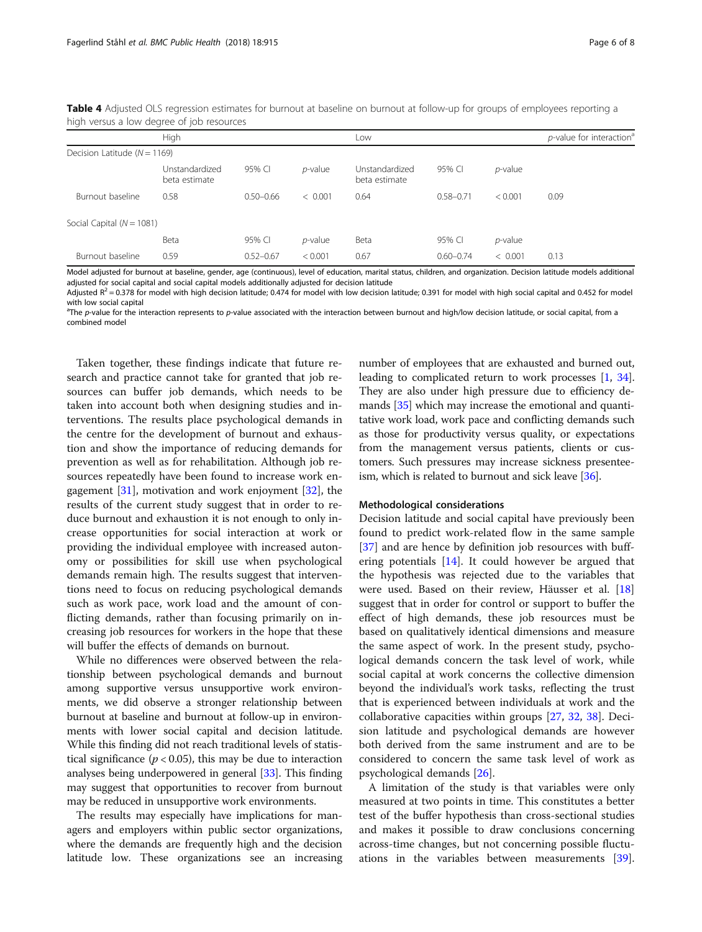| ingii versas a lovv aegiec or job resoarces |                                 |               |                 |                                 |               |            |                                         |
|---------------------------------------------|---------------------------------|---------------|-----------------|---------------------------------|---------------|------------|-----------------------------------------|
|                                             | High                            |               |                 | Low                             |               |            | $p$ -value for interaction <sup>a</sup> |
| Decision Latitude ( $N = 1169$ )            |                                 |               |                 |                                 |               |            |                                         |
|                                             | Unstandardized<br>beta estimate | 95% CI        | $p$ -value      | Unstandardized<br>beta estimate | 95% CI        | $p$ -value |                                         |
| Burnout baseline                            | 0.58                            | $0.50 - 0.66$ | < 0.001         | 0.64                            | $0.58 - 0.71$ | < 0.001    | 0.09                                    |
| Social Capital $(N = 1081)$                 |                                 |               |                 |                                 |               |            |                                         |
|                                             | Beta                            | 95% CI        | <i>p</i> -value | Beta                            | 95% CI        | $p$ -value |                                         |
| Burnout baseline                            | 0.59                            | $0.52 - 0.67$ | < 0.001         | 0.67                            | $0.60 - 0.74$ | < 0.001    | 0.13                                    |

<span id="page-5-0"></span>Table 4 Adjusted OLS regression estimates for burnout at baseline on burnout at follow-up for groups of employees reporting a high versus a low degree of job resources

Model adjusted for burnout at baseline, gender, age (continuous), level of education, marital status, children, and organization. Decision latitude models additional adjusted for social capital and social capital models additionally adjusted for decision latitude

Adjusted  $R^2$  = 0.378 for model with high decision latitude; 0.474 for model with low decision latitude; 0.391 for model with high social capital and 0.452 for model with low social capital

<sup>a</sup>The p-value for the interaction represents to p-value associated with the interaction between burnout and high/low decision latitude, or social capital, from a combined model

Taken together, these findings indicate that future research and practice cannot take for granted that job resources can buffer job demands, which needs to be taken into account both when designing studies and interventions. The results place psychological demands in the centre for the development of burnout and exhaustion and show the importance of reducing demands for prevention as well as for rehabilitation. Although job resources repeatedly have been found to increase work engagement [\[31](#page-7-0)], motivation and work enjoyment [\[32](#page-7-0)], the results of the current study suggest that in order to reduce burnout and exhaustion it is not enough to only increase opportunities for social interaction at work or providing the individual employee with increased autonomy or possibilities for skill use when psychological demands remain high. The results suggest that interventions need to focus on reducing psychological demands such as work pace, work load and the amount of conflicting demands, rather than focusing primarily on increasing job resources for workers in the hope that these will buffer the effects of demands on burnout.

While no differences were observed between the relationship between psychological demands and burnout among supportive versus unsupportive work environments, we did observe a stronger relationship between burnout at baseline and burnout at follow-up in environments with lower social capital and decision latitude. While this finding did not reach traditional levels of statistical significance ( $p < 0.05$ ), this may be due to interaction analyses being underpowered in general [[33](#page-7-0)]. This finding may suggest that opportunities to recover from burnout may be reduced in unsupportive work environments.

The results may especially have implications for managers and employers within public sector organizations, where the demands are frequently high and the decision latitude low. These organizations see an increasing

number of employees that are exhausted and burned out, leading to complicated return to work processes [[1,](#page-6-0) [34](#page-7-0)]. They are also under high pressure due to efficiency demands [\[35\]](#page-7-0) which may increase the emotional and quantitative work load, work pace and conflicting demands such as those for productivity versus quality, or expectations from the management versus patients, clients or customers. Such pressures may increase sickness presenteeism, which is related to burnout and sick leave [[36](#page-7-0)].

## Methodological considerations

Decision latitude and social capital have previously been found to predict work-related flow in the same sample [[37\]](#page-7-0) and are hence by definition job resources with buffering potentials  $[14]$ . It could however be argued that the hypothesis was rejected due to the variables that were used. Based on their review, Häusser et al. [[18](#page-7-0)] suggest that in order for control or support to buffer the effect of high demands, these job resources must be based on qualitatively identical dimensions and measure the same aspect of work. In the present study, psychological demands concern the task level of work, while social capital at work concerns the collective dimension beyond the individual's work tasks, reflecting the trust that is experienced between individuals at work and the collaborative capacities within groups [[27,](#page-7-0) [32](#page-7-0), [38\]](#page-7-0). Decision latitude and psychological demands are however both derived from the same instrument and are to be considered to concern the same task level of work as psychological demands [[26\]](#page-7-0).

A limitation of the study is that variables were only measured at two points in time. This constitutes a better test of the buffer hypothesis than cross-sectional studies and makes it possible to draw conclusions concerning across-time changes, but not concerning possible fluctuations in the variables between measurements [\[39](#page-7-0)].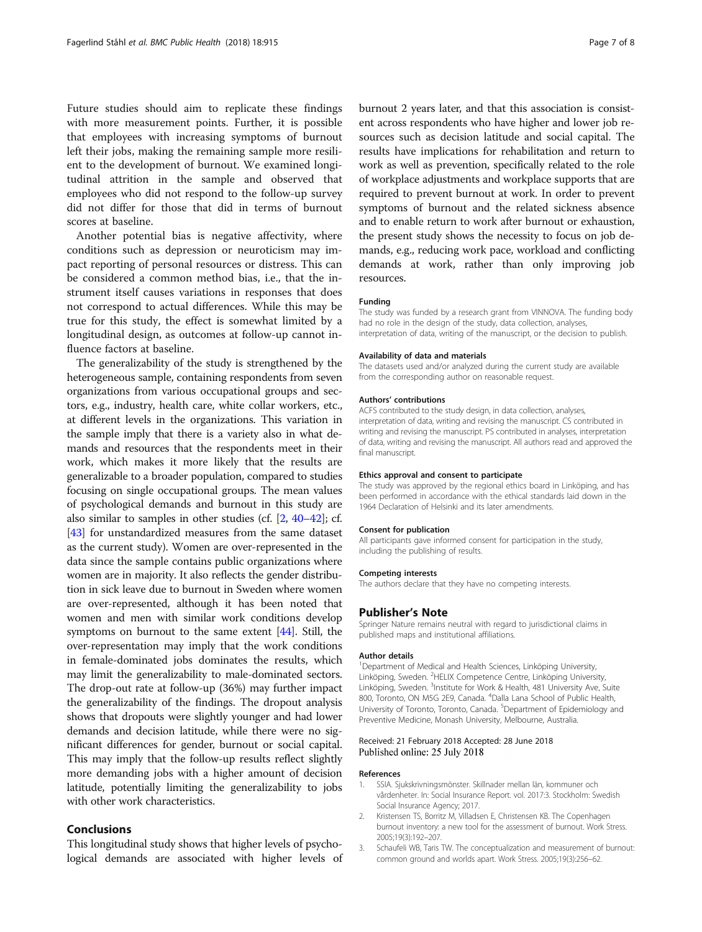<span id="page-6-0"></span>Future studies should aim to replicate these findings with more measurement points. Further, it is possible that employees with increasing symptoms of burnout left their jobs, making the remaining sample more resilient to the development of burnout. We examined longitudinal attrition in the sample and observed that employees who did not respond to the follow-up survey did not differ for those that did in terms of burnout scores at baseline.

Another potential bias is negative affectivity, where conditions such as depression or neuroticism may impact reporting of personal resources or distress. This can be considered a common method bias, i.e., that the instrument itself causes variations in responses that does not correspond to actual differences. While this may be true for this study, the effect is somewhat limited by a longitudinal design, as outcomes at follow-up cannot influence factors at baseline.

The generalizability of the study is strengthened by the heterogeneous sample, containing respondents from seven organizations from various occupational groups and sectors, e.g., industry, health care, white collar workers, etc., at different levels in the organizations. This variation in the sample imply that there is a variety also in what demands and resources that the respondents meet in their work, which makes it more likely that the results are generalizable to a broader population, compared to studies focusing on single occupational groups. The mean values of psychological demands and burnout in this study are also similar to samples in other studies (cf. [2, [40](#page-7-0)–[42\]](#page-7-0); cf. [[43](#page-7-0)] for unstandardized measures from the same dataset as the current study). Women are over-represented in the data since the sample contains public organizations where women are in majority. It also reflects the gender distribution in sick leave due to burnout in Sweden where women are over-represented, although it has been noted that women and men with similar work conditions develop symptoms on burnout to the same extent [[44](#page-7-0)]. Still, the over-representation may imply that the work conditions in female-dominated jobs dominates the results, which may limit the generalizability to male-dominated sectors. The drop-out rate at follow-up (36%) may further impact the generalizability of the findings. The dropout analysis shows that dropouts were slightly younger and had lower demands and decision latitude, while there were no significant differences for gender, burnout or social capital. This may imply that the follow-up results reflect slightly more demanding jobs with a higher amount of decision latitude, potentially limiting the generalizability to jobs with other work characteristics.

## Conclusions

This longitudinal study shows that higher levels of psychological demands are associated with higher levels of burnout 2 years later, and that this association is consistent across respondents who have higher and lower job resources such as decision latitude and social capital. The results have implications for rehabilitation and return to work as well as prevention, specifically related to the role of workplace adjustments and workplace supports that are required to prevent burnout at work. In order to prevent symptoms of burnout and the related sickness absence and to enable return to work after burnout or exhaustion, the present study shows the necessity to focus on job demands, e.g., reducing work pace, workload and conflicting demands at work, rather than only improving job resources.

## Funding

The study was funded by a research grant from VINNOVA. The funding body had no role in the design of the study, data collection, analyses, interpretation of data, writing of the manuscript, or the decision to publish.

#### Availability of data and materials

The datasets used and/or analyzed during the current study are available from the corresponding author on reasonable request.

## Authors' contributions

ACFS contributed to the study design, in data collection, analyses, interpretation of data, writing and revising the manuscript. CS contributed in writing and revising the manuscript. PS contributed in analyses, interpretation of data, writing and revising the manuscript. All authors read and approved the final manuscript.

#### Ethics approval and consent to participate

The study was approved by the regional ethics board in Linköping, and has been performed in accordance with the ethical standards laid down in the 1964 Declaration of Helsinki and its later amendments.

#### Consent for publication

All participants gave informed consent for participation in the study, including the publishing of results.

#### Competing interests

The authors declare that they have no competing interests.

## Publisher's Note

Springer Nature remains neutral with regard to jurisdictional claims in published maps and institutional affiliations.

#### Author details

<sup>1</sup>Department of Medical and Health Sciences, Linköping University, Linköping, Sweden. <sup>2</sup>HELIX Competence Centre, Linköping University, Linköping, Sweden. <sup>3</sup>Institute for Work & Health, 481 University Ave, Suite 800, Toronto, ON M5G 2E9, Canada. <sup>4</sup>Dalla Lana School of Public Health University of Toronto, Toronto, Canada. <sup>5</sup>Department of Epidemiology and Preventive Medicine, Monash University, Melbourne, Australia.

## Received: 21 February 2018 Accepted: 28 June 2018 Published online: 25 July 2018

#### References

- 1. SSIA. Sjukskrivningsmönster. Skillnader mellan län, kommuner och vårdenheter. In: Social Insurance Report. vol. 2017:3. Stockholm: Swedish Social Insurance Agency; 2017.
- 2. Kristensen TS, Borritz M, Villadsen E, Christensen KB. The Copenhagen burnout inventory: a new tool for the assessment of burnout. Work Stress. 2005;19(3):192–207.
- 3. Schaufeli WB, Taris TW. The conceptualization and measurement of burnout: common ground and worlds apart. Work Stress. 2005;19(3):256–62.